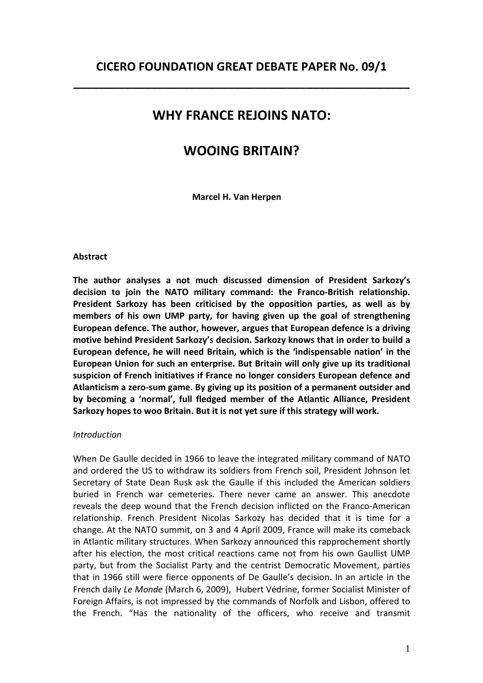\_\_\_\_\_\_\_\_\_\_\_\_\_\_\_\_\_\_\_\_\_\_\_\_\_\_\_\_\_\_\_\_\_\_\_\_\_\_\_\_\_\_\_\_\_\_\_\_\_\_\_\_

# WHY FRANCE REJOINS NATO:

## WOOING BRITAIN?

Marcel H. Van Herpen

#### Abstract

The author analyses a not much discussed dimension of President Sarkozy's decision to join the NATO military command: the Franco-British relationship. President Sarkozy has been criticised by the opposition parties, as well as by members of his own UMP party, for having given up the goal of strengthening European defence. The author, however, argues that European defence is a driving motive behind President Sarkozy's decision. Sarkozy knows that in order to build a European defence, he will need Britain, which is the 'indispensable nation' in the European Union for such an enterprise. But Britain will only give up its traditional suspicion of French initiatives if France no longer considers European defence and Atlanticism a zero-sum game. By giving up its position of a permanent outsider and by becoming a 'normal', full fledged member of the Atlantic Alliance, President Sarkozy hopes to woo Britain. But it is not yet sure if this strategy will work.

#### Introduction

When De Gaulle decided in 1966 to leave the integrated military command of NATO and ordered the US to withdraw its soldiers from French soil, President Johnson let Secretary of State Dean Rusk ask the Gaulle if this included the American soldiers buried in French war cemeteries. There never came an answer. This anecdote reveals the deep wound that the French decision inflicted on the Franco-American relationship. French President Nicolas Sarkozy has decided that it is time for a change. At the NATO summit, on 3 and 4 April 2009, France will make its comeback in Atlantic military structures. When Sarkozy announced this rapprochement shortly after his election, the most critical reactions came not from his own Gaullist UMP party, but from the Socialist Party and the centrist Democratic Movement, parties that in 1966 still were fierce opponents of De Gaulle's decision. In an article in the French daily Le Monde (March 6, 2009), Hubert Védrine, former Socialist Minister of Foreign Affairs, is not impressed by the commands of Norfolk and Lisbon, offered to the French. "Has the nationality of the officers, who receive and transmit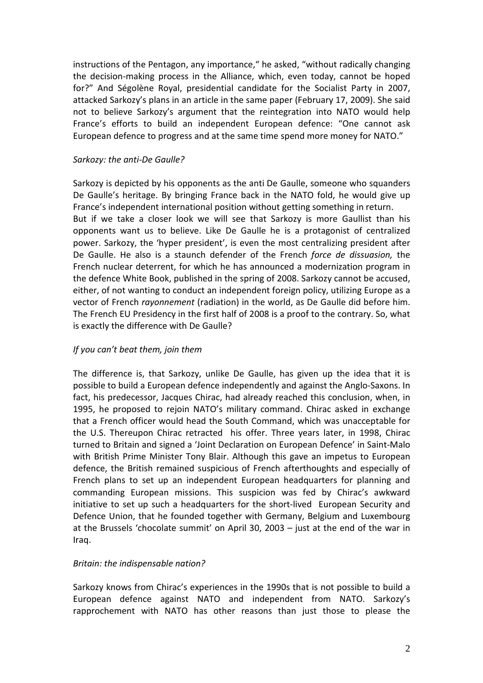instructions of the Pentagon, any importance," he asked, "without radically changing the decision-making process in the Alliance, which, even today, cannot be hoped for?" And Ségolène Royal, presidential candidate for the Socialist Party in 2007, attacked Sarkozy's plans in an article in the same paper (February 17, 2009). She said not to believe Sarkozy's argument that the reintegration into NATO would help France's efforts to build an independent European defence: "One cannot ask European defence to progress and at the same time spend more money for NATO."

#### Sarkozy: the anti-De Gaulle?

Sarkozy is depicted by his opponents as the anti De Gaulle, someone who squanders De Gaulle's heritage. By bringing France back in the NATO fold, he would give up France's independent international position without getting something in return. But if we take a closer look we will see that Sarkozy is more Gaullist than his opponents want us to believe. Like De Gaulle he is a protagonist of centralized power. Sarkozy, the 'hyper president', is even the most centralizing president after De Gaulle. He also is a staunch defender of the French force de dissuasion, the French nuclear deterrent, for which he has announced a modernization program in the defence White Book, published in the spring of 2008. Sarkozy cannot be accused, either, of not wanting to conduct an independent foreign policy, utilizing Europe as a vector of French rayonnement (radiation) in the world, as De Gaulle did before him. The French EU Presidency in the first half of 2008 is a proof to the contrary. So, what is exactly the difference with De Gaulle?

## If you can't beat them, join them

The difference is, that Sarkozy, unlike De Gaulle, has given up the idea that it is possible to build a European defence independently and against the Anglo-Saxons. In fact, his predecessor, Jacques Chirac, had already reached this conclusion, when, in 1995, he proposed to rejoin NATO's military command. Chirac asked in exchange that a French officer would head the South Command, which was unacceptable for the U.S. Thereupon Chirac retracted his offer. Three years later, in 1998, Chirac turned to Britain and signed a 'Joint Declaration on European Defence' in Saint-Malo with British Prime Minister Tony Blair. Although this gave an impetus to European defence, the British remained suspicious of French afterthoughts and especially of French plans to set up an independent European headquarters for planning and commanding European missions. This suspicion was fed by Chirac's awkward initiative to set up such a headquarters for the short-lived European Security and Defence Union, that he founded together with Germany, Belgium and Luxembourg at the Brussels 'chocolate summit' on April 30, 2003 – just at the end of the war in Iraq.

## Britain: the indispensable nation?

Sarkozy knows from Chirac's experiences in the 1990s that is not possible to build a European defence against NATO and independent from NATO. Sarkozy's rapprochement with NATO has other reasons than just those to please the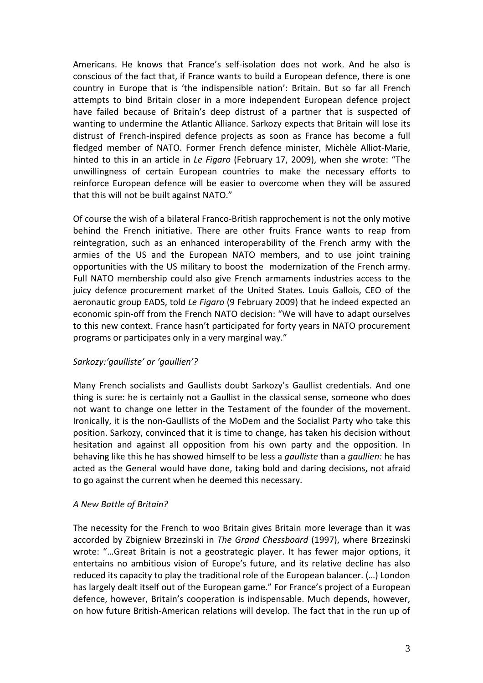Americans. He knows that France's self-isolation does not work. And he also is conscious of the fact that, if France wants to build a European defence, there is one country in Europe that is 'the indispensible nation': Britain. But so far all French attempts to bind Britain closer in a more independent European defence project have failed because of Britain's deep distrust of a partner that is suspected of wanting to undermine the Atlantic Alliance. Sarkozy expects that Britain will lose its distrust of French-inspired defence projects as soon as France has become a full fledged member of NATO. Former French defence minister, Michèle Alliot-Marie, hinted to this in an article in Le Figaro (February 17, 2009), when she wrote: "The unwillingness of certain European countries to make the necessary efforts to reinforce European defence will be easier to overcome when they will be assured that this will not be built against NATO."

Of course the wish of a bilateral Franco-British rapprochement is not the only motive behind the French initiative. There are other fruits France wants to reap from reintegration, such as an enhanced interoperability of the French army with the armies of the US and the European NATO members, and to use joint training opportunities with the US military to boost the modernization of the French army. Full NATO membership could also give French armaments industries access to the juicy defence procurement market of the United States. Louis Gallois, CEO of the aeronautic group EADS, told Le Figaro (9 February 2009) that he indeed expected an economic spin-off from the French NATO decision: "We will have to adapt ourselves to this new context. France hasn't participated for forty years in NATO procurement programs or participates only in a very marginal way."

## Sarkozy:'gaulliste' or 'gaullien'?

Many French socialists and Gaullists doubt Sarkozy's Gaullist credentials. And one thing is sure: he is certainly not a Gaullist in the classical sense, someone who does not want to change one letter in the Testament of the founder of the movement. Ironically, it is the non-Gaullists of the MoDem and the Socialist Party who take this position. Sarkozy, convinced that it is time to change, has taken his decision without hesitation and against all opposition from his own party and the opposition. In behaving like this he has showed himself to be less a *gaulliste* than a *gaullien:* he has acted as the General would have done, taking bold and daring decisions, not afraid to go against the current when he deemed this necessary.

#### A New Battle of Britain?

The necessity for the French to woo Britain gives Britain more leverage than it was accorded by Zbigniew Brzezinski in The Grand Chessboard (1997), where Brzezinski wrote: "…Great Britain is not a geostrategic player. It has fewer major options, it entertains no ambitious vision of Europe's future, and its relative decline has also reduced its capacity to play the traditional role of the European balancer. (…) London has largely dealt itself out of the European game." For France's project of a European defence, however, Britain's cooperation is indispensable. Much depends, however, on how future British-American relations will develop. The fact that in the run up of